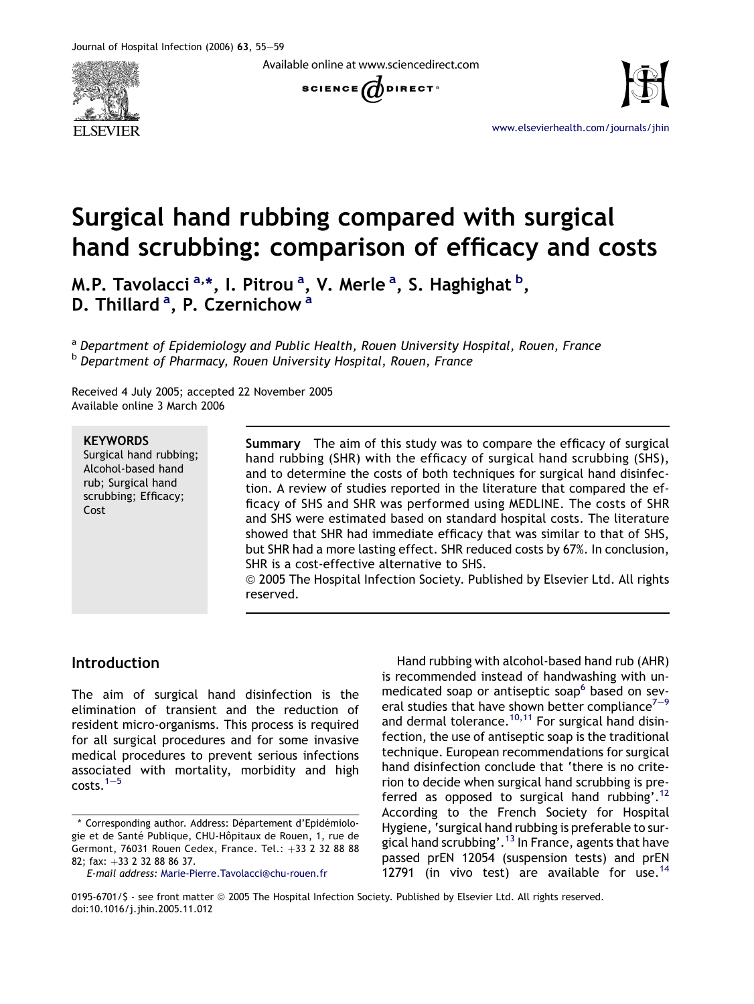

Available online at www.sciencedirect.com





[www.elsevierhealth.com/journals/jhin](http://www.elsevierhealth.com/journals/jhin)

# Surgical hand rubbing compared with surgical hand scrubbing: comparison of efficacy and costs

M.P. Tavolacci <sup>a,</sup>\*, I. Pitrou <sup>a</sup>, V. Merle <sup>a</sup>, S. Haghighat <sup>b</sup>, D. Thillard <sup>a</sup>, P. Czernichow <sup>a</sup>

<sup>a</sup> Department of Epidemiology and Public Health, Rouen University Hospital, Rouen, France b Department of Pharmacy, Rouen University Hospital, Rouen, France

Received 4 July 2005; accepted 22 November 2005 Available online 3 March 2006

#### **KEYWORDS**

Surgical hand rubbing; Alcohol-based hand rub; Surgical hand scrubbing; Efficacy; Cost

Summary The aim of this study was to compare the efficacy of surgical hand rubbing (SHR) with the efficacy of surgical hand scrubbing (SHS), and to determine the costs of both techniques for surgical hand disinfection. A review of studies reported in the literature that compared the efficacy of SHS and SHR was performed using MEDLINE. The costs of SHR and SHS were estimated based on standard hospital costs. The literature showed that SHR had immediate efficacy that was similar to that of SHS, but SHR had a more lasting effect. SHR reduced costs by 67%. In conclusion, SHR is a cost-effective alternative to SHS.

© 2005 The Hospital Infection Society. Published by Elsevier Ltd. All rights reserved.

## Introduction

The aim of surgical hand disinfection is the elimination of transient and the reduction of resident micro-organisms. This process is required for all surgical procedures and for some invasive medical procedures to prevent serious infections associated with mortality, morbidity and high  $costs.<sup>1–5</sup>$  $costs.<sup>1–5</sup>$  $costs.<sup>1–5</sup>$ 

Hand rubbing with alcohol-based hand rub (AHR) is recommended instead of handwashing with un-medicated soap or antiseptic soap<sup>[6](#page-4-0)</sup> based on sev[e](#page-4-0)ral studies that have shown better compliance $7-9$  $7-9$ and dermal tolerance.<sup>[10,11](#page-4-0)</sup> For surgical hand disinfection, the use of antiseptic soap is the traditional technique. European recommendations for surgical hand disinfection conclude that 'there is no criterion to decide when surgical hand scrubbing is preferred as opposed to surgical hand rubbing'.[12](#page-4-0) According to the French Society for Hospital Hygiene, 'surgical hand rubbing is preferable to surgical hand scrubbing'.[13](#page-4-0) In France, agents that have passed prEN 12054 (suspension tests) and prEN 12791 (in vivo test) are available for use.<sup>[14](#page-4-0)</sup>

<sup>\*</sup> Corresponding author. Address: Département d'Epidémiologie et de Santé Publique, CHU-Hôpitaux de Rouen, 1, rue de Germont, 76031 Rouen Cedex, France. Tel.: +33 2 32 88 88 82; fax:  $+33$  2 32 88 86 37.

E-mail address: [Marie-Pierre.Tavolacci@chu-rouen.fr](mailto:Marie-Pierre.Tavolacci@chu-rouen.fr)

<sup>0195-6701/\$ -</sup> see front matter  $@$  2005 The Hospital Infection Society. Published by Elsevier Ltd. All rights reserved. doi:10.1016/j.jhin.2005.11.012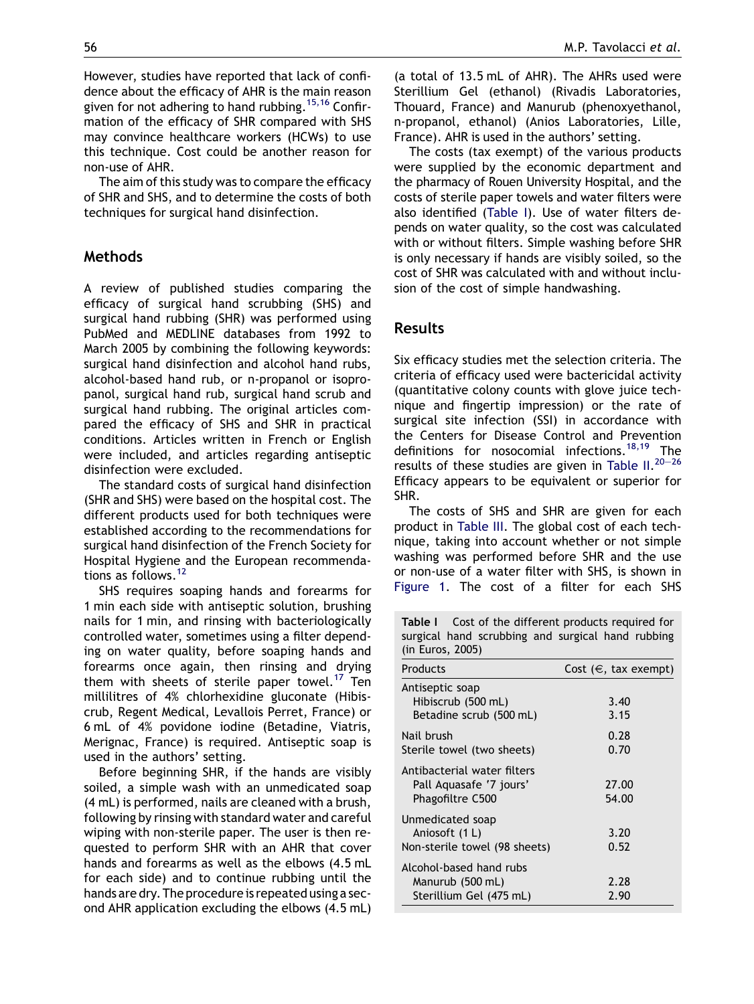However, studies have reported that lack of confidence about the efficacy of AHR is the main reason given for not adhering to hand rubbing.<sup>[15,16](#page-4-0)</sup> Confirmation of the efficacy of SHR compared with SHS may convince healthcare workers (HCWs) to use this technique. Cost could be another reason for non-use of AHR.

The aim of this study was to compare the efficacy of SHR and SHS, and to determine the costs of both techniques for surgical hand disinfection.

## Methods

A review of published studies comparing the efficacy of surgical hand scrubbing (SHS) and surgical hand rubbing (SHR) was performed using PubMed and MEDLINE databases from 1992 to March 2005 by combining the following keywords: surgical hand disinfection and alcohol hand rubs, alcohol-based hand rub, or n-propanol or isopropanol, surgical hand rub, surgical hand scrub and surgical hand rubbing. The original articles compared the efficacy of SHS and SHR in practical conditions. Articles written in French or English were included, and articles regarding antiseptic disinfection were excluded.

The standard costs of surgical hand disinfection (SHR and SHS) were based on the hospital cost. The different products used for both techniques were established according to the recommendations for surgical hand disinfection of the French Society for Hospital Hygiene and the European recommenda-tions as follows.<sup>[12](#page-4-0)</sup>

SHS requires soaping hands and forearms for 1 min each side with antiseptic solution, brushing nails for 1 min, and rinsing with bacteriologically controlled water, sometimes using a filter depending on water quality, before soaping hands and forearms once again, then rinsing and drying them with sheets of sterile paper towel.<sup>[17](#page-4-0)</sup> Ten millilitres of 4% chlorhexidine gluconate (Hibiscrub, Regent Medical, Levallois Perret, France) or 6 mL of 4% povidone iodine (Betadine, Viatris, Merignac, France) is required. Antiseptic soap is used in the authors' setting.

Before beginning SHR, if the hands are visibly soiled, a simple wash with an unmedicated soap (4 mL) is performed, nails are cleaned with a brush, following by rinsing with standard water and careful wiping with non-sterile paper. The user is then requested to perform SHR with an AHR that cover hands and forearms as well as the elbows (4.5 mL for each side) and to continue rubbing until the hands are dry. The procedure is repeated using a second AHR application excluding the elbows (4.5 mL) (a total of 13.5 mL of AHR). The AHRs used were Sterillium Gel (ethanol) (Rivadis Laboratories, Thouard, France) and Manurub (phenoxyethanol,

n-propanol, ethanol) (Anios Laboratories, Lille, France). AHR is used in the authors' setting. The costs (tax exempt) of the various products were supplied by the economic department and the pharmacy of Rouen University Hospital, and the costs of sterile paper towels and water filters were also identified (Table I). Use of water filters depends on water quality, so the cost was calculated with or without filters. Simple washing before SHR is only necessary if hands are visibly soiled, so the cost of SHR was calculated with and without inclusion of the cost of simple handwashing.

## Results

Six efficacy studies met the selection criteria. The criteria of efficacy used were bactericidal activity (quantitative colony counts with glove juice technique and fingertip impression) or the rate of surgical site infection (SSI) in accordance with the Centers for Disease Control and Prevention definitions for nosocomial infections.<sup>[18,19](#page-4-0)</sup> The results of these studies are given in [Table II.](#page-2-0) $^{20-26}$  $^{20-26}$  $^{20-26}$  $^{20-26}$  $^{20-26}$ Efficacy appears to be equivalent or superior for SHR.

The costs of SHS and SHR are given for each product in [Table III.](#page-3-0) The global cost of each technique, taking into account whether or not simple washing was performed before SHR and the use or non-use of a water filter with SHS, is shown in [Figure 1](#page-3-0). The cost of a filter for each SHS

Table I Cost of the different products required for surgical hand scrubbing and surgical hand rubbing (in Euros, 2005)

| Products                                                                   | Cost $(\in$ , tax exempt) |
|----------------------------------------------------------------------------|---------------------------|
| Antiseptic soap<br>Hibiscrub (500 mL)<br>Betadine scrub (500 mL)           | 3.40<br>3.15              |
| Nail brush<br>Sterile towel (two sheets)                                   | 0.28<br>0.70              |
| Antibacterial water filters<br>Pall Aguasafe '7 jours'<br>Phagofiltre C500 | 27.00<br>54.00            |
| Unmedicated soap<br>Aniosoft (1 L)<br>Non-sterile towel (98 sheets)        | 3.20<br>0.52              |
| Alcohol-based hand rubs<br>Manurub (500 mL)<br>Sterillium Gel (475 mL)     | 2.28<br>2.90              |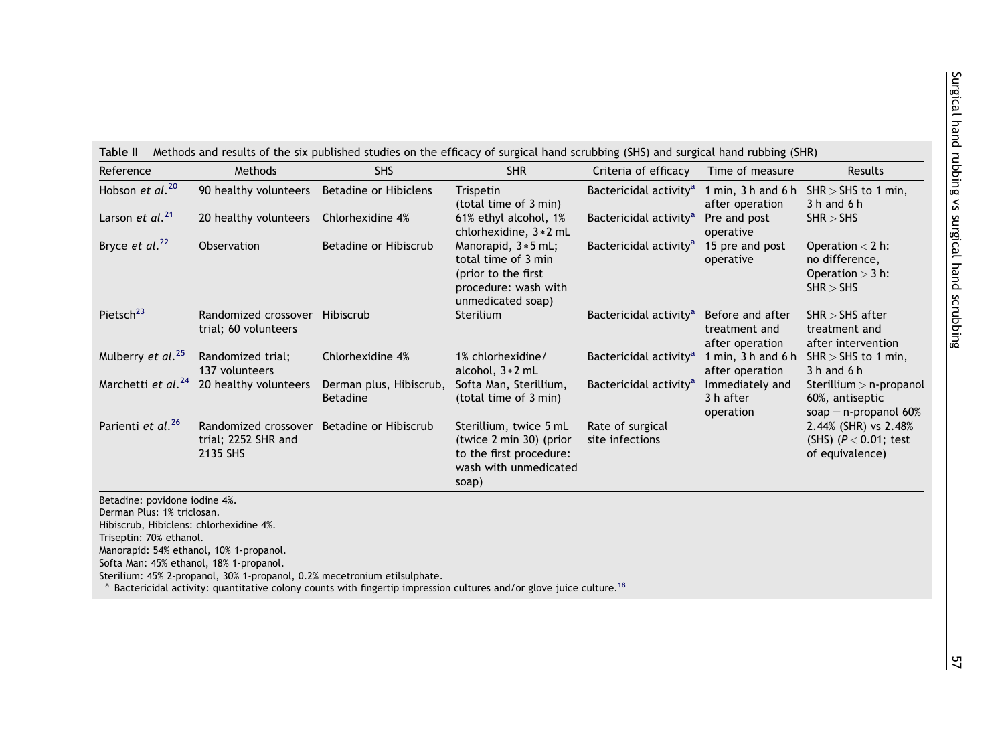<span id="page-2-0"></span>

| Reference                                                                                                                                                                                                               | Methods                                                 | <b>SHS</b>                                                                                                                                                                                                  | <b>SHR</b>                                                                                                       | Criteria of efficacy                | Time of measure                                      | Results                                                                  |
|-------------------------------------------------------------------------------------------------------------------------------------------------------------------------------------------------------------------------|---------------------------------------------------------|-------------------------------------------------------------------------------------------------------------------------------------------------------------------------------------------------------------|------------------------------------------------------------------------------------------------------------------|-------------------------------------|------------------------------------------------------|--------------------------------------------------------------------------|
| Hobson et al. <sup>20</sup>                                                                                                                                                                                             | 90 healthy volunteers                                   | <b>Betadine or Hibiclens</b>                                                                                                                                                                                | Trispetin<br>(total time of 3 min)                                                                               | Bactericidal activity <sup>a</sup>  | 1 min, $3 h$ and $6 h$<br>after operation            | $SHR > SHS$ to 1 min,<br>$3h$ and $6h$                                   |
| Larson et al. <sup>21</sup>                                                                                                                                                                                             | 20 healthy volunteers                                   | Chlorhexidine 4%                                                                                                                                                                                            | 61% ethyl alcohol, 1%<br>chlorhexidine, 3 * 2 mL                                                                 | Bactericidal activity <sup>a</sup>  | Pre and post<br>operative                            | SHR > SHS                                                                |
| Bryce et al. <sup>22</sup>                                                                                                                                                                                              | Observation                                             | Betadine or Hibiscrub                                                                                                                                                                                       | Manorapid, 3 * 5 mL;<br>total time of 3 min<br>(prior to the first)<br>procedure: wash with<br>unmedicated soap) | Bactericidal activity <sup>a</sup>  | 15 pre and post<br>operative                         | Operation $<$ 2 h:<br>no difference,<br>Operation $>$ 3 h:<br>SHR > SHS  |
| Pietsch <sup>23</sup>                                                                                                                                                                                                   | Randomized crossover Hibiscrub<br>trial; 60 volunteers  |                                                                                                                                                                                                             | Sterilium                                                                                                        | Bactericidal activity <sup>a</sup>  | Before and after<br>treatment and<br>after operation | $SHR > SHS$ after<br>treatment and<br>after intervention                 |
| Mulberry et al. <sup>25</sup>                                                                                                                                                                                           | Randomized trial;<br>137 volunteers                     | Chlorhexidine 4%                                                                                                                                                                                            | 1% chlorhexidine/<br>alcohol, 3 * 2 mL                                                                           | Bactericidal activity <sup>a</sup>  | 1 min, $3 h$ and $6 h$<br>after operation            | $SHR > SHS$ to 1 min,<br>$3h$ and $6h$                                   |
| Marchetti et al. <sup>24</sup>                                                                                                                                                                                          | 20 healthy volunteers                                   | Derman plus, Hibiscrub,<br><b>Betadine</b>                                                                                                                                                                  | Softa Man, Sterillium,<br>(total time of 3 min)                                                                  | Bactericidal activity <sup>a</sup>  | Immediately and<br>3 h after<br>operation            | Sterillium $>$ n-propanol<br>60%, antiseptic<br>soap = $n$ -propanol 60% |
| Parienti et al. <sup>26</sup>                                                                                                                                                                                           | Randomized crossover<br>trial; 2252 SHR and<br>2135 SHS | Betadine or Hibiscrub                                                                                                                                                                                       | Sterillium, twice 5 mL<br>(twice 2 min 30) (prior<br>to the first procedure:<br>wash with unmedicated<br>soap)   | Rate of surgical<br>site infections |                                                      | 2.44% (SHR) vs 2.48%<br>(SHS) $(P < 0.01$ ; test<br>of equivalence)      |
| Betadine: povidone iodine 4%.<br>Derman Plus: 1% triclosan.<br>Hibiscrub, Hibiclens: chlorhexidine 4%.<br>Triseptin: 70% ethanol.<br>Manorapid: 54% ethanol, 10% 1-propanol.<br>Softa Man: 45% ethanol, 18% 1-propanol. |                                                         | Sterilium: 45% 2-propanol, 30% 1-propanol, 0.2% mecetronium etilsulphate.<br>Bactericidal activity: quantitative colony counts with fingertip impression cultures and/or glove juice culture. <sup>18</sup> |                                                                                                                  |                                     |                                                      |                                                                          |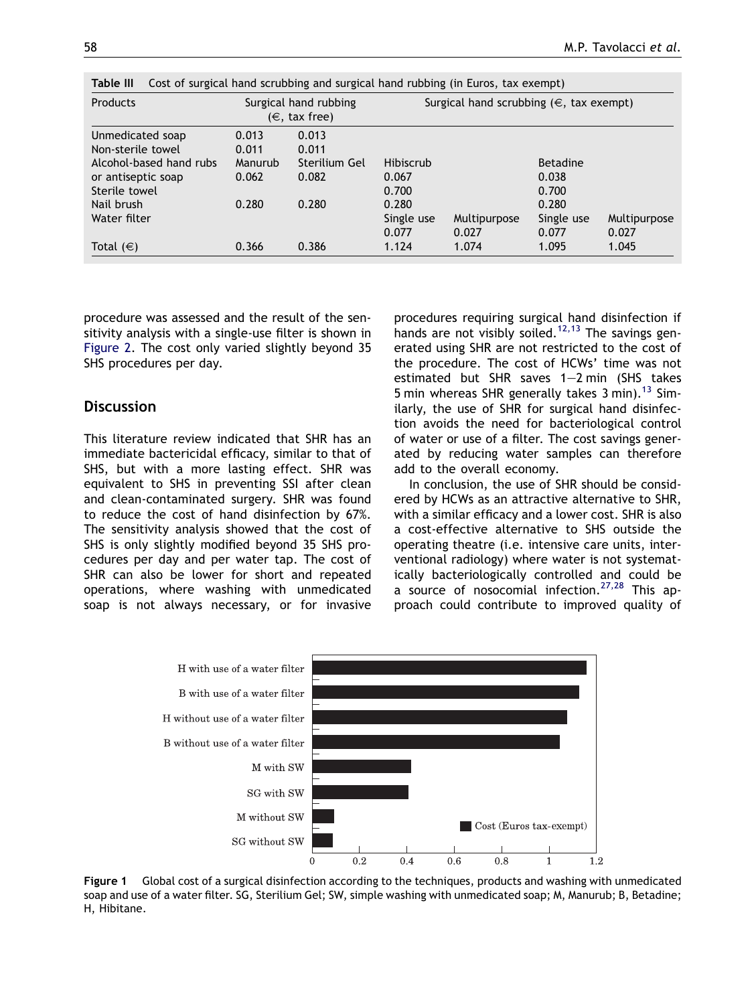| <b>Products</b>                                                  |                  | Surgical hand rubbing<br>$(\in$ , tax free) | Surgical hand scrubbing $(\in$ , tax exempt) |                       |                              |                       |
|------------------------------------------------------------------|------------------|---------------------------------------------|----------------------------------------------|-----------------------|------------------------------|-----------------------|
| Unmedicated soap<br>Non-sterile towel<br>Alcohol-based hand rubs | 0.013<br>0.011   | 0.013<br>0.011<br>Sterilium Gel             | Hibiscrub                                    |                       | <b>Betadine</b>              |                       |
| or antiseptic soap<br>Sterile towel                              | Manurub<br>0.062 | 0.082                                       | 0.067<br>0.700                               |                       | 0.038<br>0.700               |                       |
| Nail brush<br>Water filter                                       | 0.280            | 0.280                                       | 0.280<br>Single use<br>0.077                 | Multipurpose<br>0.027 | 0.280<br>Single use<br>0.077 | Multipurpose<br>0.027 |
| Total $(\in)$                                                    | 0.366            | 0.386                                       | 1.124                                        | 1.074                 | 1.095                        | 1.045                 |

<span id="page-3-0"></span>Table III Cost of surgical hand scrubbing and surgical hand rubbing (in Euros, tax exempt)

procedure was assessed and the result of the sensitivity analysis with a single-use filter is shown in [Figure 2.](#page-4-0) The cost only varied slightly beyond 35 SHS procedures per day.

#### **Discussion**

This literature review indicated that SHR has an immediate bactericidal efficacy, similar to that of SHS, but with a more lasting effect. SHR was equivalent to SHS in preventing SSI after clean and clean-contaminated surgery. SHR was found to reduce the cost of hand disinfection by 67%. The sensitivity analysis showed that the cost of SHS is only slightly modified beyond 35 SHS procedures per day and per water tap. The cost of SHR can also be lower for short and repeated operations, where washing with unmedicated soap is not always necessary, or for invasive procedures requiring surgical hand disinfection if hands are not visibly soiled.<sup>[12,13](#page-4-0)</sup> The savings generated using SHR are not restricted to the cost of the procedure. The cost of HCWs' time was not estimated but SHR saves  $1-2$  min (SHS takes 5 min whereas SHR generally takes 3 min).<sup>[13](#page-4-0)</sup> Similarly, the use of SHR for surgical hand disinfection avoids the need for bacteriological control of water or use of a filter. The cost savings generated by reducing water samples can therefore add to the overall economy.

In conclusion, the use of SHR should be considered by HCWs as an attractive alternative to SHR, with a similar efficacy and a lower cost. SHR is also a cost-effective alternative to SHS outside the operating theatre (i.e. intensive care units, interventional radiology) where water is not systematically bacteriologically controlled and could be a source of nosocomial infection. $27,28$  This approach could contribute to improved quality of



Figure 1 Global cost of a surgical disinfection according to the techniques, products and washing with unmedicated soap and use of a water filter. SG, Sterilium Gel; SW, simple washing with unmedicated soap; M, Manurub; B, Betadine; H, Hibitane.